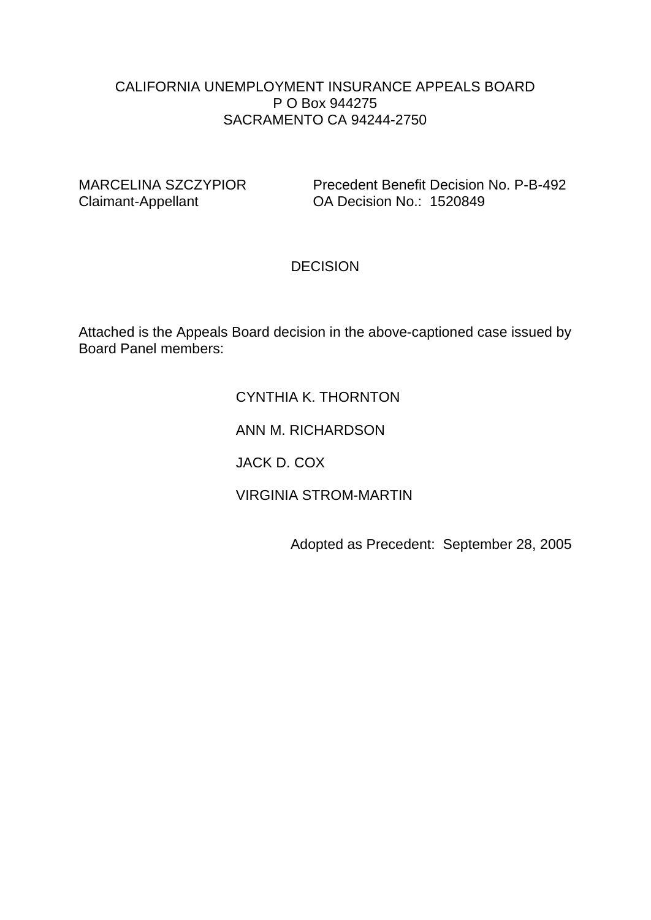#### CALIFORNIA UNEMPLOYMENT INSURANCE APPEALS BOARD P O Box 944275 SACRAMENTO CA 94244-2750

MARCELINA SZCZYPIOR Precedent Benefit Decision No. P-B-492<br>Claimant-Appellant Claimant-Appellant DA Decision No.: 1520849 OA Decision No.: 1520849

# **DECISION**

Attached is the Appeals Board decision in the above-captioned case issued by Board Panel members:

#### CYNTHIA K. THORNTON

ANN M. RICHARDSON

JACK D. COX

VIRGINIA STROM-MARTIN

Adopted as Precedent: September 28, 2005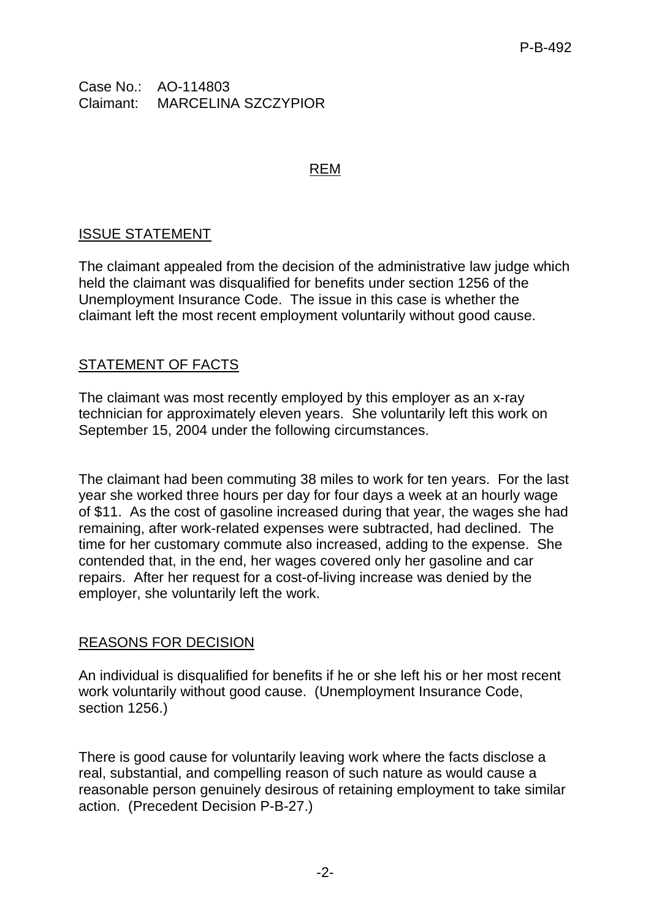Case No.: AO-114803 Claimant: MARCELINA SZCZYPIOR

#### REM

# ISSUE STATEMENT

The claimant appealed from the decision of the administrative law judge which held the claimant was disqualified for benefits under section 1256 of the Unemployment Insurance Code. The issue in this case is whether the claimant left the most recent employment voluntarily without good cause.

# STATEMENT OF FACTS

The claimant was most recently employed by this employer as an x-ray technician for approximately eleven years. She voluntarily left this work on September 15, 2004 under the following circumstances.

The claimant had been commuting 38 miles to work for ten years. For the last year she worked three hours per day for four days a week at an hourly wage of \$11. As the cost of gasoline increased during that year, the wages she had remaining, after work-related expenses were subtracted, had declined. The time for her customary commute also increased, adding to the expense. She contended that, in the end, her wages covered only her gasoline and car repairs. After her request for a cost-of-living increase was denied by the employer, she voluntarily left the work.

# REASONS FOR DECISION

An individual is disqualified for benefits if he or she left his or her most recent work voluntarily without good cause. (Unemployment Insurance Code, section 1256.)

There is good cause for voluntarily leaving work where the facts disclose a real, substantial, and compelling reason of such nature as would cause a reasonable person genuinely desirous of retaining employment to take similar action. (Precedent Decision P-B-27.)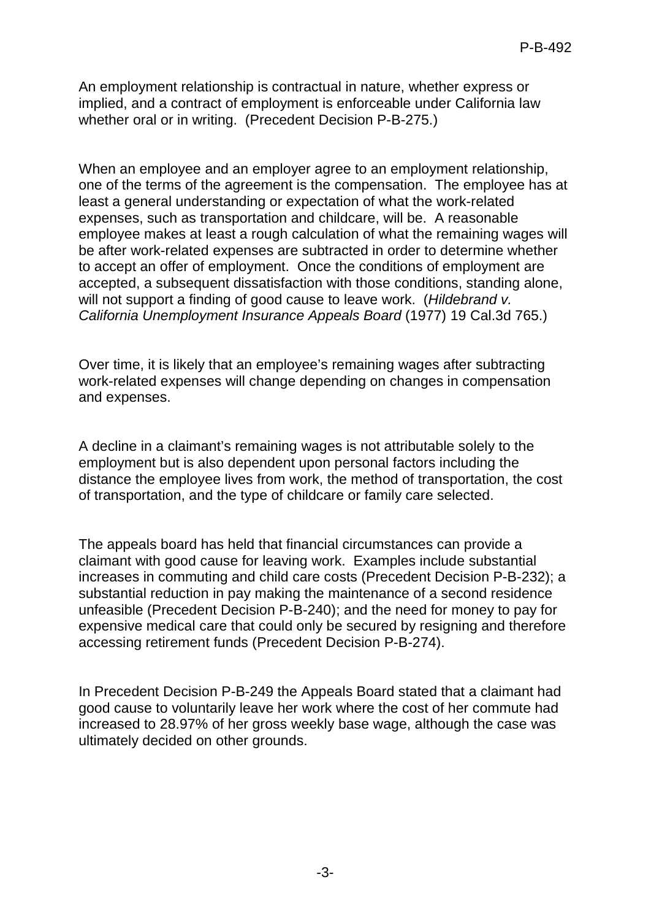An employment relationship is contractual in nature, whether express or implied, and a contract of employment is enforceable under California law whether oral or in writing. (Precedent Decision P-B-275.)

When an employee and an employer agree to an employment relationship, one of the terms of the agreement is the compensation. The employee has at least a general understanding or expectation of what the work-related expenses, such as transportation and childcare, will be. A reasonable employee makes at least a rough calculation of what the remaining wages will be after work-related expenses are subtracted in order to determine whether to accept an offer of employment. Once the conditions of employment are accepted, a subsequent dissatisfaction with those conditions, standing alone, will not support a finding of good cause to leave work. (*Hildebrand v. California Unemployment Insurance Appeals Board* (1977) 19 Cal.3d 765.)

Over time, it is likely that an employee's remaining wages after subtracting work-related expenses will change depending on changes in compensation and expenses.

A decline in a claimant's remaining wages is not attributable solely to the employment but is also dependent upon personal factors including the distance the employee lives from work, the method of transportation, the cost of transportation, and the type of childcare or family care selected.

The appeals board has held that financial circumstances can provide a claimant with good cause for leaving work. Examples include substantial increases in commuting and child care costs (Precedent Decision P-B-232); a substantial reduction in pay making the maintenance of a second residence unfeasible (Precedent Decision P-B-240); and the need for money to pay for expensive medical care that could only be secured by resigning and therefore accessing retirement funds (Precedent Decision P-B-274).

In Precedent Decision P-B-249 the Appeals Board stated that a claimant had good cause to voluntarily leave her work where the cost of her commute had increased to 28.97% of her gross weekly base wage, although the case was ultimately decided on other grounds.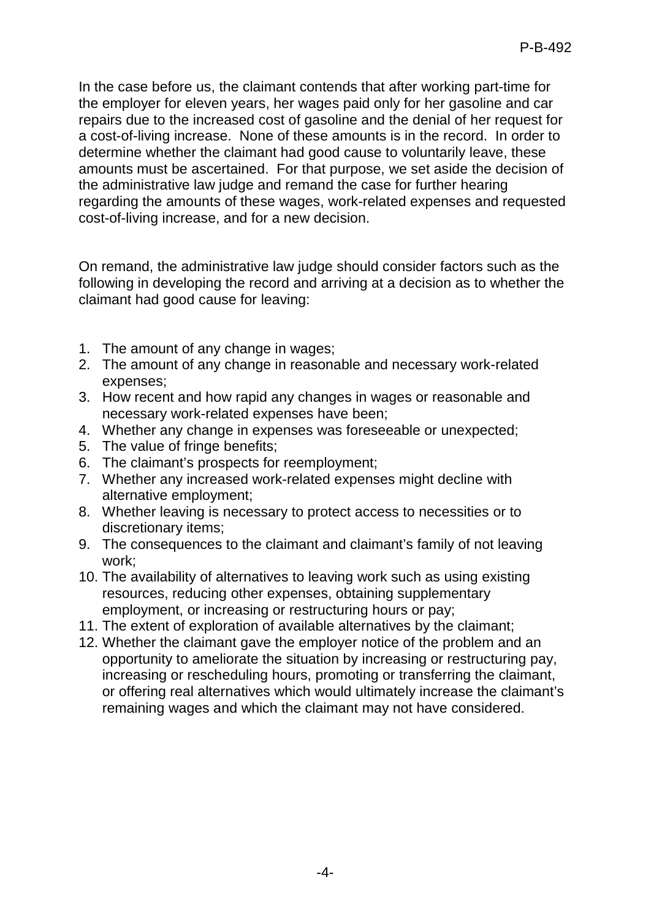In the case before us, the claimant contends that after working part-time for the employer for eleven years, her wages paid only for her gasoline and car repairs due to the increased cost of gasoline and the denial of her request for a cost-of-living increase. None of these amounts is in the record. In order to determine whether the claimant had good cause to voluntarily leave, these amounts must be ascertained. For that purpose, we set aside the decision of the administrative law judge and remand the case for further hearing regarding the amounts of these wages, work-related expenses and requested cost-of-living increase, and for a new decision.

On remand, the administrative law judge should consider factors such as the following in developing the record and arriving at a decision as to whether the claimant had good cause for leaving:

- 1. The amount of any change in wages;
- 2. The amount of any change in reasonable and necessary work-related expenses;
- 3. How recent and how rapid any changes in wages or reasonable and necessary work-related expenses have been;
- 4. Whether any change in expenses was foreseeable or unexpected;
- 5. The value of fringe benefits;
- 6. The claimant's prospects for reemployment;
- 7. Whether any increased work-related expenses might decline with alternative employment;
- 8. Whether leaving is necessary to protect access to necessities or to discretionary items;
- 9. The consequences to the claimant and claimant's family of not leaving work;
- 10. The availability of alternatives to leaving work such as using existing resources, reducing other expenses, obtaining supplementary employment, or increasing or restructuring hours or pay;
- 11. The extent of exploration of available alternatives by the claimant;
- 12. Whether the claimant gave the employer notice of the problem and an opportunity to ameliorate the situation by increasing or restructuring pay, increasing or rescheduling hours, promoting or transferring the claimant, or offering real alternatives which would ultimately increase the claimant's remaining wages and which the claimant may not have considered.